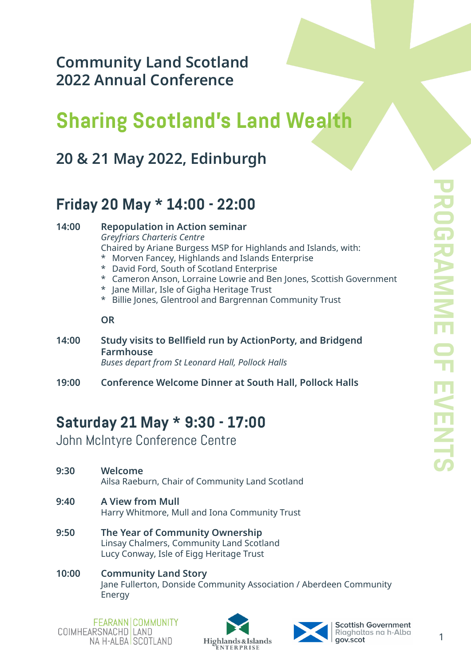**Community Land Scotland 2022 Annual Conference** 

# **Sharing Scotland's Land Wealth**

## **20 & 21 May 2022, Edinburgh**

## **Friday 20 May \* 14:00 - 22:00**

**14:00 Repopulation in Action seminar** *Greyfriars Charteris Centre* Chaired by Ariane Burgess MSP for Highlands and Islands, with: \* Morven Fancey, Highlands and Islands Enterprise \* David Ford, South of Scotland Enterprise \* Cameron Anson, Lorraine Lowrie and Ben Jones, Scottish Government \* Jane Millar, Isle of Gigha Heritage Trust \* Billie Jones, Glentrool and Bargrennan Community Trust **OR 14:00 Study visits to Bellfield run by ActionPorty, and Bridgend**

- **Farmhouse** *Buses depart from St Leonard Hall, Pollock Halls*
- **19:00 Conference Welcome Dinner at South Hall, Pollock Halls**

## **Saturday 21 May \* 9:30 - 17:00**

John McIntyre Conference Centre

- **9:30 Welcome** Ailsa Raeburn, Chair of Community Land Scotland
- **9:40 A View from Mull** Harry Whitmore, Mull and Iona Community Trust
- **9:50 The Year of Community Ownership** Linsay Chalmers, Community Land Scotland Lucy Conway, Isle of Eigg Heritage Trust
- **10:00 Community Land Story** Jane Fullerton, Donside Community Association / Aberdeen Community Energy



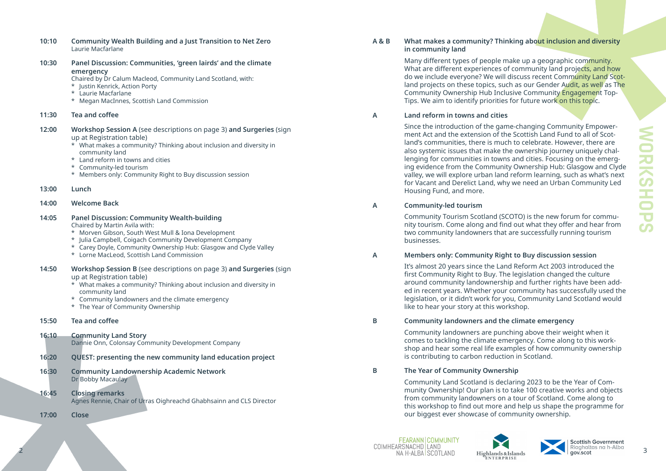| 10:10          | <b>Community Wealth Building and a Just Transition to Net Zero</b><br>Laurie Macfarlane                                                                                                                                                                                                                                         | <b>A&amp;B</b> | What makes a community? Thir<br>in community land                                                                                                                                                                                                                                                                        |
|----------------|---------------------------------------------------------------------------------------------------------------------------------------------------------------------------------------------------------------------------------------------------------------------------------------------------------------------------------|----------------|--------------------------------------------------------------------------------------------------------------------------------------------------------------------------------------------------------------------------------------------------------------------------------------------------------------------------|
| 10:30          | Panel Discussion: Communities, 'green lairds' and the climate<br>emergency<br>Chaired by Dr Calum Macleod, Community Land Scotland, with:<br>* Justin Kenrick, Action Porty<br>* Laurie Macfarlane<br>* Megan MacInnes, Scottish Land Commission                                                                                |                | Many different types of people m<br>What are different experiences o<br>do we include everyone? We will<br>land projects on these topics, sue<br><b>Community Ownership Hub Inclu</b><br>Tips. We aim to identify priorities                                                                                             |
| 11:30          | Tea and coffee                                                                                                                                                                                                                                                                                                                  | $\mathsf{A}$   | Land reform in towns and cities                                                                                                                                                                                                                                                                                          |
| 12:00<br>13:00 | Workshop Session A (see descriptions on page 3) and Surgeries (sign<br>up at Registration table)<br>* What makes a community? Thinking about inclusion and diversity in<br>community land<br>* Land reform in towns and cities<br>* Community-led tourism<br>* Members only: Community Right to Buy discussion session<br>Lunch |                | Since the introduction of the gan<br>ment Act and the extension of th<br>land's communities, there is muc<br>also systemic issues that make th<br>lenging for communities in town<br>ing evidence from the Communit<br>valley, we will explore urban land<br>for Vacant and Derelict Land, wh<br>Housing Fund, and more. |
| 14:00          | <b>Welcome Back</b>                                                                                                                                                                                                                                                                                                             | A              | <b>Community-led tourism</b>                                                                                                                                                                                                                                                                                             |
| 14:05          | <b>Panel Discussion: Community Wealth-building</b><br>Chaired by Martin Avila with:<br>* Morven Gibson, South West Mull & Iona Development<br>* Julia Campbell, Coigach Community Development Company<br>* Carey Doyle, Community Ownership Hub: Glasgow and Clyde Valley<br>* Lorne MacLeod, Scottish Land Commission          |                | <b>Community Tourism Scotland (SC</b><br>nity tourism. Come along and fin<br>two community landowners that<br>businesses.                                                                                                                                                                                                |
|                |                                                                                                                                                                                                                                                                                                                                 | $\mathsf{A}$   | <b>Members only: Community Right</b>                                                                                                                                                                                                                                                                                     |
| 14:50          | Workshop Session B (see descriptions on page 3) and Surgeries (sign<br>up at Registration table)<br>* What makes a community? Thinking about inclusion and diversity in<br>community land<br>* Community landowners and the climate emergency<br>* The Year of Community Ownership                                              |                | It's almost 20 years since the Lan<br>first Community Right to Buy. Th<br>around community landownersh<br>ed in recent years. Whether your<br>legislation, or it didn't work for yo<br>like to hear your story at this wor                                                                                               |
| 15:50          | Tea and coffee                                                                                                                                                                                                                                                                                                                  | B              | <b>Community landowners and the</b>                                                                                                                                                                                                                                                                                      |
| 16:10          | <b>Community Land Story</b><br>Dannie Onn, Colonsay Community Development Company                                                                                                                                                                                                                                               |                | Community landowners are pune<br>comes to tackling the climate em<br>shop and hear some real life exa<br>is contributing to carbon reduction                                                                                                                                                                             |
| 16:20          | <b>QUEST: presenting the new community land education project</b>                                                                                                                                                                                                                                                               |                |                                                                                                                                                                                                                                                                                                                          |
| 16:30<br>16:45 | <b>Community Landownership Academic Network</b><br>Dr Bobby Macaulay<br><b>Closing remarks</b><br>Agnes Rennie, Chair of Urras Oighreachd Ghabhsainn and CLS Director                                                                                                                                                           | B              | The Year of Community Owners<br>Community Land Scotland is dec<br>munity Ownership! Our plan is to<br>from community landowners on<br>this workshop to find out more a<br>our biggest ever showcase of cor                                                                                                               |
| 17:00          | <b>Close</b>                                                                                                                                                                                                                                                                                                                    |                |                                                                                                                                                                                                                                                                                                                          |
|                |                                                                                                                                                                                                                                                                                                                                 |                |                                                                                                                                                                                                                                                                                                                          |

FEARANN COMMUNITY 2 MALLANOMACHD EAND Highlands & Islands Maria Communication Account 2 MALLANOMACHD EAND Highlands & Islands Ma<br>BALLAN RALSCOTT AND Highlands & Islands Maria Count 2 Mac 2008.



### **A & B What makes a community? Thinking about inclusion and diversity**

make up a geographic community. of community land projects, and how ill discuss recent Community Land Scotland and projects our Gender Audit, as well as The Iclusive Community Engagement Topies for future work on this topic.

ame-changing Community Empowerthe Scottish Land Fund to all of Scotuch to celebrate. However, there are the ownership journey uniquely chalwns and cities. Focusing on the emergnity Ownership Hub: Glasgow and Clyde nd reform learning, such as what's next vhy we need an Urban Community Led

(SCOTO) is the new forum for commufind out what they offer and hear from at are successfully running tourism

#### **A Members only: Community Right to Buy discussion session**

and Reform Act 2003 introduced the The legislation changed the culture rship and further rights have been addur community has successfully used the you, Community Land Scotland would vorkshop.

#### **B** *R Community constrained in the climate emergency*

Inching above their weight when it emergency. Come along to this workxamples of how community ownership tion in Scotland.

#### **B B E**

eclaring 2023 to be the Year of Comto take 100 creative works and objects on a tour of Scotland. Come along to there and help us shape the programme for ommunity ownership.

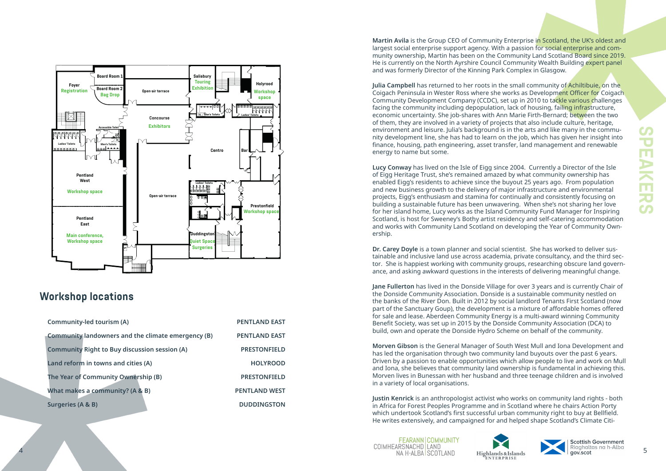

### **Workshop locations**

| Community-led tourism (A)                            | <b>PENTLAND EAST</b> |
|------------------------------------------------------|----------------------|
| Community landowners and the climate emergency (B)   | <b>PENTLAND EAST</b> |
| <b>Community Right to Buy discussion session (A)</b> | <b>PRESTONFIELD</b>  |
| Land reform in towns and cities (A)                  | <b>HOLYROOD</b>      |
| The Year of Community Ownership (B)                  | <b>PRESTONFIELD</b>  |
| What makes a community? (A & B)                      | <b>PENTLAND WEST</b> |
| Surgeries (A & B)                                    | <b>DUDDINGSTON</b>   |

**Martin Avila** is the Group CEO of Community Enterprise in Scotland, the UK's oldest and largest social enterprise support agency. With a passion for social enterprise and community ownership, Martin has been on the Community Land Scotland Board since 2019. He is currently on the North Ayrshire Council Community Wealth Building expert panel and was formerly Director of the Kinning Park Complex in Glasgow.

**Julia Campbell** has returned to her roots in the small community of Achiltibuie, on the Coigach Peninsula in Wester Ross where she works as Development Officer for Coigach Community Development Company (CCDC), set up in 2010 to tackle various challenges facing the community including depopulation, lack of housing, failing infrastructure, economic uncertainty. She job-shares with Ann Marie Firth-Bernard; between the two of them, they are involved in a variety of projects that also include culture, heritage, environment and leisure. Julia's background is in the arts and like many in the community development line, she has had to learn on the job, which has given her insight into finance, housing, path engineering, asset transfer, land management and renewable energy to name but some.

**Lucy Conway** has lived on the Isle of Eigg since 2004. Currently a Director of the Isle of Eigg Heritage Trust, she's remained amazed by what community ownership has enabled Eigg's residents to achieve since the buyout 25 years ago. From population and new business growth to the delivery of major infrastructure and environmental projects, Eigg's enthusiasm and stamina for continually and consistently focusing on building a sustainable future has been unwavering. When she's not sharing her love for her island home, Lucy works as the Island Community Fund Manager for Inspiring Scotland, is host for Sweeney's Bothy artist residency and self-catering accommodation and works with Community Land Scotland on developing the Year of Community Ownership.

**Dr. Carey Doyle** is a town planner and social scientist. She has worked to deliver sustainable and inclusive land use across academia, private consultancy, and the third sector. She is happiest working with community groups, researching obscure land governance, and asking awkward questions in the interests of delivering meaningful change.

**Jane Fullerton** has lived in the Donside Village for over 3 years and is currently Chair of the Donside Community Association. Donside is a sustainable community nestled on the banks of the River Don. Built in 2012 by social landlord Tenants First Scotland (now part of the Sanctuary Goup), the development is a mixture of affordable homes offered for sale and lease. Aberdeen Community Energy is a multi-award winning Community Benefit Society, was set up in 2015 by the Donside Community Association (DCA) to build, own and operate the Donside Hydro Scheme on behalf of the community.

**Morven Gibson** is the General Manager of South West Mull and Iona Development and has led the organisation through two community land buyouts over the past 6 years. Driven by a passion to enable opportunities which allow people to live and work on Mull and Iona, she believes that community land ownership is fundamental in achieving this. Morven lives in Bunessan with her husband and three teenage children and is involved in a variety of local organisations.

**Justin Kenrick** is an anthropologist activist who works on community land rights - both in Africa for Forest Peoples Programme and in Scotland where he chairs Action Porty which undertook Scotland's first successful urban community right to buy at Bellfield. He writes extensively, and campaigned for and helped shape Scotland's Climate Citi-

**FEARANN COMMUNITY** 4 MARIANOMACHE EAND MARIANOMACHE EAND Highlands & Islands Maria Countries in the Album 5



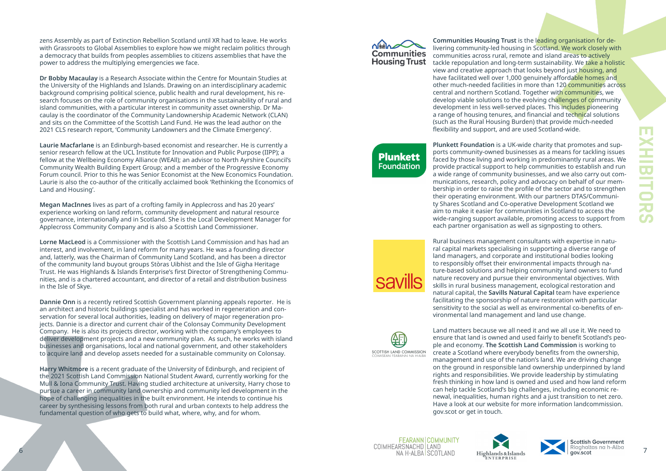6



zens Assembly as part of Extinction Rebellion Scotland until XR had to leave. He works with Grassroots to Global Assemblies to explore how we might reclaim politics through a democracy that builds from peoples assemblies to citizens assemblies that have the power to address the multiplying emergencies we face.

**Dr Bobby Macaulay** is a Research Associate within the Centre for Mountain Studies at the University of the Highlands and Islands. Drawing on an interdisciplinary academic background comprising political science, public health and rural development, his re search focuses on the role of community organisations in the sustainability of rural and island communities, with a particular interest in community asset ownership. Dr Ma caulay is the coordinator of the Community Landownership Academic Network (CLAN) and sits on the Committee of the Scottish Land Fund. He was the lead author on the 2021 CLS research report, 'Community Landowners and the Climate Emergency'.

**Laurie Macfarlane** is an Edinburgh-based economist and researcher. He is currently a senior research fellow at the UCL Institute for Innovation and Public Purpose (IIPP); a fellow at the Wellbeing Economy Alliance (WEAll); an advisor to North Ayrshire Council's Community Wealth Building Expert Group; and a member of the Progressive Economy Forum council. Prior to this he was Senior Economist at the New Economics Foundation. Laurie is also the co-author of the critically acclaimed book 'Rethinking the Economics of Land and Housing'.

**Megan MacInnes** lives as part of a crofting family in Applecross and has 20 years' experience working on land reform, community development and natural resource governance, internationally and in Scotland. She is the Local Development Manager for Applecross Community Company and is also a Scottish Land Commissioner.

**Lorne MacLeod** is a Commissioner with the Scottish Land Commission and has had an interest, and involvement, in land reform for many years. He was a founding director and, latterly, was the Chairman of Community Land Scotland, and has been a director of the community land buyout groups Stòras Uibhist and the Isle of Gigha Heritage Trust. He was Highlands & Islands Enterprise's first Director of Strengthening Commu nities, and is a chartered accountant, and director of a retail and distribution business in the Isle of Skye.

**Dannie Onn** is a recently retired Scottish Government planning appeals reporter. He is an architect and historic buildings specialist and has worked in regeneration and con servation for several local authorities, leading on delivery of major regeneration pro jects. Dannie is a director and current chair of the Colonsay Community Development Company. He is also its projects director, working with the company's employees to deliver development projects and a new community plan. As such, he works with island businesses and organisations, local and national government, and other stakeholders to acquire land and develop assets needed for a sustainable community on Colonsay.

**Harry Whitmore** is a recent graduate of the University of Edinburgh, and recipient of the 2021 Scottish Land Commission National Student Award, currently working for the Mull & Iona Community Trust. Having studied architecture at university, Harry chose to pursue a career in community land ownership and community led development in the hope of challenging inequalities in the built environment. He intends to continue his career by synthesising lessons from both rural and urban contexts to help address the fundamental question of who gets to build what, where, why, and for whom.

**Communities Housing Trust** 

**Plunkett Foundation** 

SCOTTISH LAND COMMISSION ISEAN FEARAININ NA H-AIR

**Communities Housing Trust** is the leading organisation for de livering community-led housing in Scotland. We work closely with communities across rural, remote and island areas to actively tackle repopulation and long-term sustainability. We take a holistic view and creative approach that looks beyond just housing, and have facilitated well over 1,000 genuinely affordable homes and other much-needed facilities in more than 120 communities across central and northern Scotland. Together with communities, we develop viable solutions to the evolving challenges of community development in less well-served places. This includes pioneering a range of housing tenures, and financial and technical solutions (such as the Rural Housing Burden) that provide much-needed flexibility and support, and are used Scotland-wide.

**Plunkett Foundation** is a UK-wide charity that promotes and sup ports community-owned businesses as a means for tackling issues faced by those living and working in predominantly rural areas. We provide practical support to help communities to establish and run a wide range of community businesses, and we also carry out com munications, research, policy and advocacy on behalf of our mem bership in order to raise the profile of the sector and to strengthen their operating environment. With our partners DTAS/Communi ty Shares Scotland and Co-operative Development Scotland we aim to make it easier for communities in Scotland to access the wide-ranging support available, promoting access to support from each partner organisation as well as signposting to others.

Rural business management consultants with expertise in natu ral capital markets specialising in supporting a diverse range of land managers, and corporate and institutional bodies looking to responsibly offset their environmental impacts through na ture-based solutions and helping community land owners to fund nature recovery and pursue their environmental objectives. With skills in rural business management, ecological restoration and natural capital, the **Savills Natural Capital** team have experience facilitating the sponsorship of nature restoration with particular sensitivity to the social as well as environmental co-benefits of en vironmental land management and land use change.

Land matters because we all need it and we all use it. We need to ensure that land is owned and used fairly to benefit Scotland's peo ple and economy. **The Scottish Land Commission** is working to create a Scotland where everybody benefits from the ownership, management and use of the nation's land. We are driving change on the ground in responsible land ownership underpinned by land rights and responsibilities. We provide leadership by stimulating fresh thinking in how land is owned and used and how land reform can help tackle Scotland's big challenges, including economic re newal, inequalities, human rights and a just transition to net zero. Have a look at our website for more information landcommission. gov.scot or get in touch.



**FEARANN COMMUNITY** COIMHEARSNACHD LAND NA H-ALBA SCOTLAND